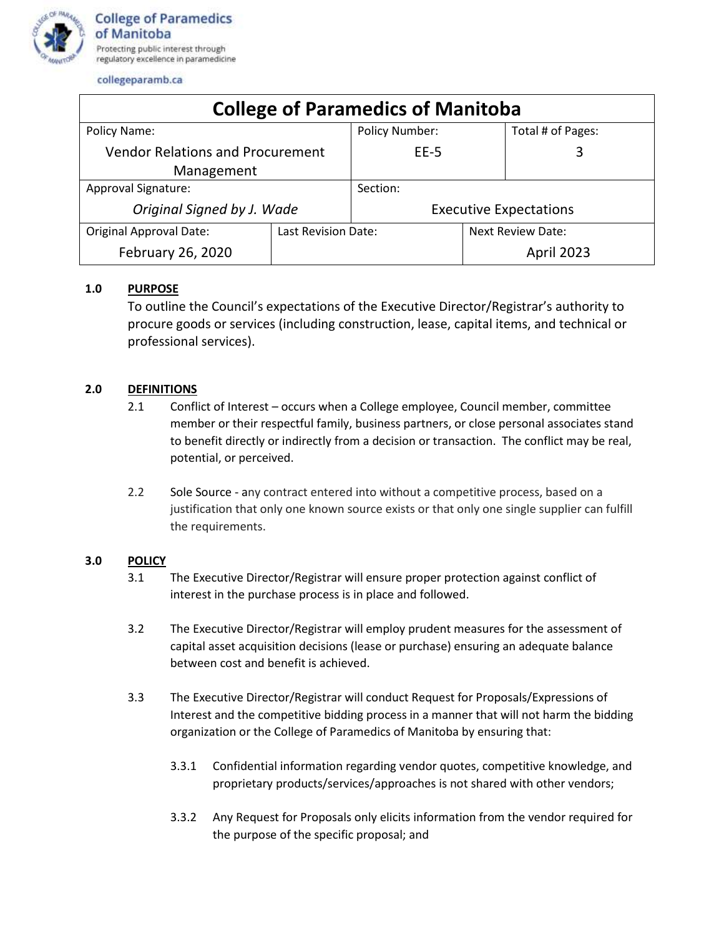

collegeparamb.ca

| <b>College of Paramedics of Manitoba</b> |                     |                               |                   |                   |
|------------------------------------------|---------------------|-------------------------------|-------------------|-------------------|
| Policy Name:                             |                     | <b>Policy Number:</b>         |                   | Total # of Pages: |
| <b>Vendor Relations and Procurement</b>  |                     | $EE-5$                        |                   | 3                 |
| Management                               |                     |                               |                   |                   |
| Approval Signature:                      |                     | Section:                      |                   |                   |
| Original Signed by J. Wade               |                     | <b>Executive Expectations</b> |                   |                   |
| <b>Original Approval Date:</b>           | Last Revision Date: |                               | Next Review Date: |                   |
| February 26, 2020                        |                     |                               |                   | April 2023        |

## **1.0 PURPOSE**

To outline the Council's expectations of the Executive Director/Registrar's authority to procure goods or services (including construction, lease, capital items, and technical or professional services).

## **2.0 DEFINITIONS**

- 2.1 Conflict of Interest occurs when a College employee, Council member, committee member or their respectful family, business partners, or close personal associates stand to benefit directly or indirectly from a decision or transaction. The conflict may be real, potential, or perceived.
- 2.2 Sole Source any contract entered into without a competitive process, based on a justification that only one known source exists or that only one single supplier can fulfill the requirements.

## **3.0 POLICY**

- 3.1 The Executive Director/Registrar will ensure proper protection against conflict of interest in the purchase process is in place and followed.
- 3.2 The Executive Director/Registrar will employ prudent measures for the assessment of capital asset acquisition decisions (lease or purchase) ensuring an adequate balance between cost and benefit is achieved.
- 3.3 The Executive Director/Registrar will conduct Request for Proposals/Expressions of Interest and the competitive bidding process in a manner that will not harm the bidding organization or the College of Paramedics of Manitoba by ensuring that:
	- 3.3.1 Confidential information regarding vendor quotes, competitive knowledge, and proprietary products/services/approaches is not shared with other vendors;
	- 3.3.2 Any Request for Proposals only elicits information from the vendor required for the purpose of the specific proposal; and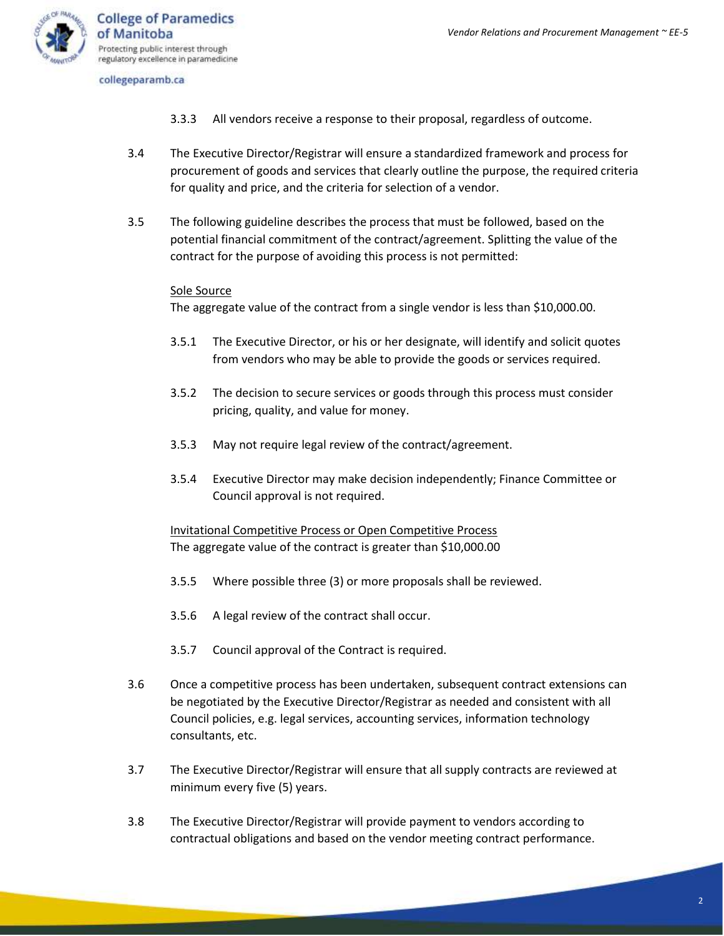

collegeparamb.ca

- 3.3.3 All vendors receive a response to their proposal, regardless of outcome.
- 3.4 The Executive Director/Registrar will ensure a standardized framework and process for procurement of goods and services that clearly outline the purpose, the required criteria for quality and price, and the criteria for selection of a vendor.
- 3.5 The following guideline describes the process that must be followed, based on the potential financial commitment of the contract/agreement. Splitting the value of the contract for the purpose of avoiding this process is not permitted:

## Sole Source

The aggregate value of the contract from a single vendor is less than \$10,000.00.

- 3.5.1 The Executive Director, or his or her designate, will identify and solicit quotes from vendors who may be able to provide the goods or services required.
- 3.5.2 The decision to secure services or goods through this process must consider pricing, quality, and value for money.
- 3.5.3 May not require legal review of the contract/agreement.
- 3.5.4 Executive Director may make decision independently; Finance Committee or Council approval is not required.

Invitational Competitive Process or Open Competitive Process The aggregate value of the contract is greater than \$10,000.00

- 3.5.5 Where possible three (3) or more proposals shall be reviewed.
- 3.5.6 A legal review of the contract shall occur.
- 3.5.7 Council approval of the Contract is required.
- 3.6 Once a competitive process has been undertaken, subsequent contract extensions can be negotiated by the Executive Director/Registrar as needed and consistent with all Council policies, e.g. legal services, accounting services, information technology consultants, etc.
- 3.7 The Executive Director/Registrar will ensure that all supply contracts are reviewed at minimum every five (5) years.
- 3.8 The Executive Director/Registrar will provide payment to vendors according to contractual obligations and based on the vendor meeting contract performance.